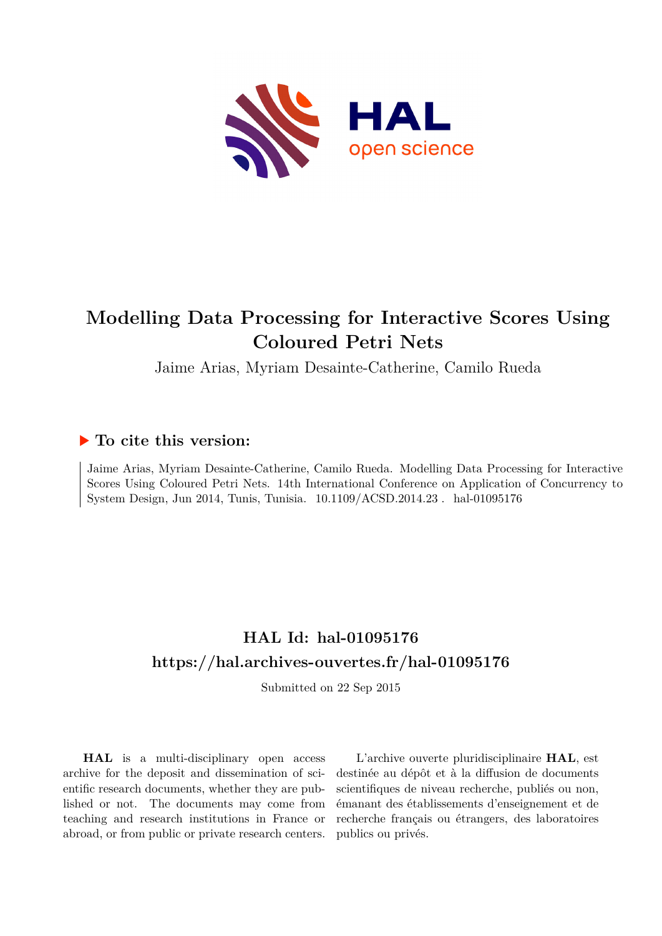

## **Modelling Data Processing for Interactive Scores Using Coloured Petri Nets**

Jaime Arias, Myriam Desainte-Catherine, Camilo Rueda

### **To cite this version:**

Jaime Arias, Myriam Desainte-Catherine, Camilo Rueda. Modelling Data Processing for Interactive Scores Using Coloured Petri Nets. 14th International Conference on Application of Concurrency to System Design, Jun 2014, Tunis, Tunisia.  $10.1109/ACSD.2014.23$ . hal-01095176

## **HAL Id: hal-01095176 <https://hal.archives-ouvertes.fr/hal-01095176>**

Submitted on 22 Sep 2015

**HAL** is a multi-disciplinary open access archive for the deposit and dissemination of scientific research documents, whether they are published or not. The documents may come from teaching and research institutions in France or abroad, or from public or private research centers.

L'archive ouverte pluridisciplinaire **HAL**, est destinée au dépôt et à la diffusion de documents scientifiques de niveau recherche, publiés ou non, émanant des établissements d'enseignement et de recherche français ou étrangers, des laboratoires publics ou privés.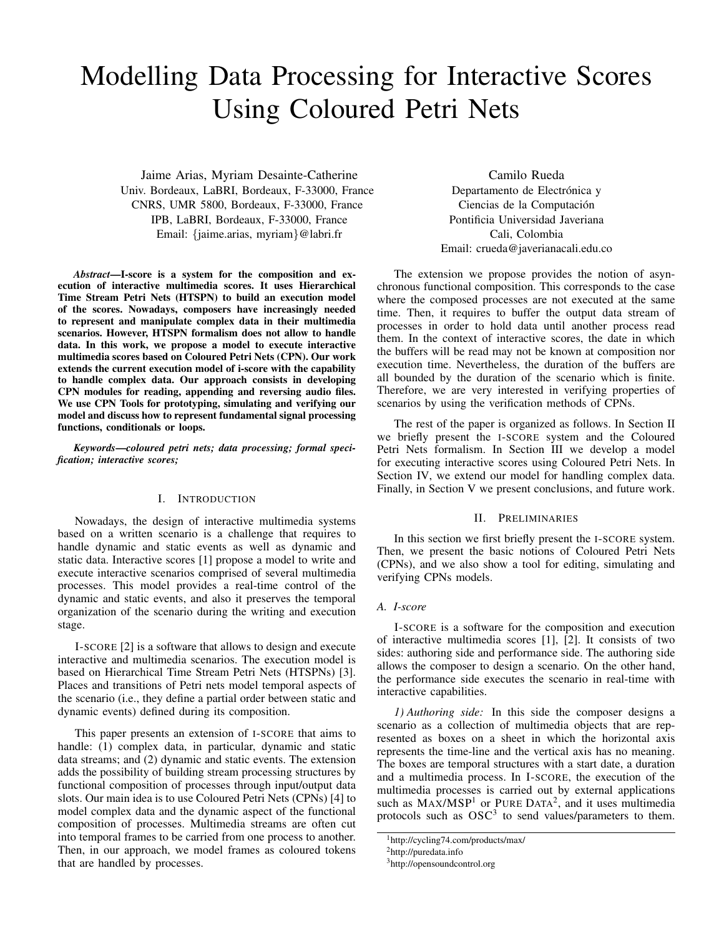# Modelling Data Processing for Interactive Scores Using Coloured Petri Nets

Jaime Arias, Myriam Desainte-Catherine Univ. Bordeaux, LaBRI, Bordeaux, F-33000, France CNRS, UMR 5800, Bordeaux, F-33000, France IPB, LaBRI, Bordeaux, F-33000, France Email: {jaime.arias, myriam}@labri.fr

*Abstract*—I-score is a system for the composition and execution of interactive multimedia scores. It uses Hierarchical Time Stream Petri Nets (HTSPN) to build an execution model of the scores. Nowadays, composers have increasingly needed to represent and manipulate complex data in their multimedia scenarios. However, HTSPN formalism does not allow to handle data. In this work, we propose a model to execute interactive multimedia scores based on Coloured Petri Nets (CPN). Our work extends the current execution model of i-score with the capability to handle complex data. Our approach consists in developing CPN modules for reading, appending and reversing audio files. We use CPN Tools for prototyping, simulating and verifying our model and discuss how to represent fundamental signal processing functions, conditionals or loops.

*Keywords*—*coloured petri nets; data processing; formal specification; interactive scores;*

#### I. INTRODUCTION

Nowadays, the design of interactive multimedia systems based on a written scenario is a challenge that requires to handle dynamic and static events as well as dynamic and static data. Interactive scores [1] propose a model to write and execute interactive scenarios comprised of several multimedia processes. This model provides a real-time control of the dynamic and static events, and also it preserves the temporal organization of the scenario during the writing and execution stage.

I-SCORE [2] is a software that allows to design and execute interactive and multimedia scenarios. The execution model is based on Hierarchical Time Stream Petri Nets (HTSPNs) [3]. Places and transitions of Petri nets model temporal aspects of the scenario (i.e., they define a partial order between static and dynamic events) defined during its composition.

This paper presents an extension of I-SCORE that aims to handle: (1) complex data, in particular, dynamic and static data streams; and (2) dynamic and static events. The extension adds the possibility of building stream processing structures by functional composition of processes through input/output data slots. Our main idea is to use Coloured Petri Nets (CPNs) [4] to model complex data and the dynamic aspect of the functional composition of processes. Multimedia streams are often cut into temporal frames to be carried from one process to another. Then, in our approach, we model frames as coloured tokens that are handled by processes.

Camilo Rueda Departamento de Electrónica y Ciencias de la Computación Pontificia Universidad Javeriana Cali, Colombia Email: crueda@javerianacali.edu.co

The extension we propose provides the notion of asynchronous functional composition. This corresponds to the case where the composed processes are not executed at the same time. Then, it requires to buffer the output data stream of processes in order to hold data until another process read them. In the context of interactive scores, the date in which the buffers will be read may not be known at composition nor execution time. Nevertheless, the duration of the buffers are all bounded by the duration of the scenario which is finite. Therefore, we are very interested in verifying properties of scenarios by using the verification methods of CPNs.

The rest of the paper is organized as follows. In Section II we briefly present the I-SCORE system and the Coloured Petri Nets formalism. In Section III we develop a model for executing interactive scores using Coloured Petri Nets. In Section IV, we extend our model for handling complex data. Finally, in Section V we present conclusions, and future work.

#### II. PRELIMINARIES

In this section we first briefly present the I-SCORE system. Then, we present the basic notions of Coloured Petri Nets (CPNs), and we also show a tool for editing, simulating and verifying CPNs models.

#### *A. I-score*

I-SCORE is a software for the composition and execution of interactive multimedia scores [1], [2]. It consists of two sides: authoring side and performance side. The authoring side allows the composer to design a scenario. On the other hand, the performance side executes the scenario in real-time with interactive capabilities.

*1) Authoring side:* In this side the composer designs a scenario as a collection of multimedia objects that are represented as boxes on a sheet in which the horizontal axis represents the time-line and the vertical axis has no meaning. The boxes are temporal structures with a start date, a duration and a multimedia process. In I-SCORE, the execution of the multimedia processes is carried out by external applications such as  $MAX/MSP<sup>1</sup>$  or PURE DATA<sup>2</sup>, and it uses multimedia protocols such as  $\text{OSC}^3$  to send values/parameters to them.

<sup>1</sup>http://cycling74.com/products/max/

<sup>2</sup>http://puredata.info

<sup>3</sup>http://opensoundcontrol.org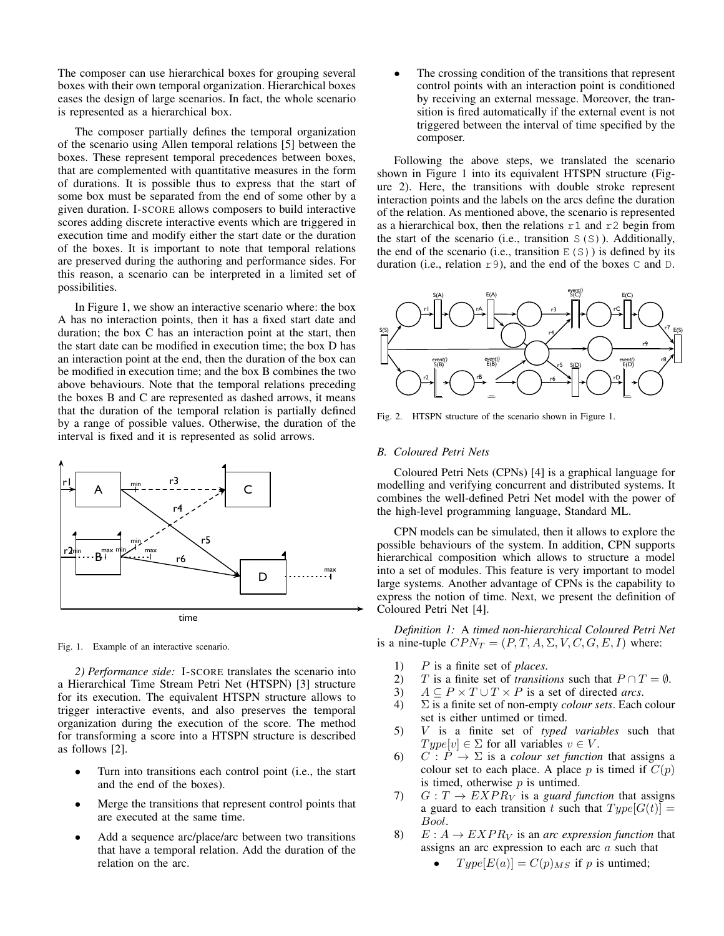The composer can use hierarchical boxes for grouping several boxes with their own temporal organization. Hierarchical boxes eases the design of large scenarios. In fact, the whole scenario is represented as a hierarchical box.

The composer partially defines the temporal organization of the scenario using Allen temporal relations [5] between the boxes. These represent temporal precedences between boxes, that are complemented with quantitative measures in the form of durations. It is possible thus to express that the start of some box must be separated from the end of some other by a given duration. I-SCORE allows composers to build interactive scores adding discrete interactive events which are triggered in execution time and modify either the start date or the duration of the boxes. It is important to note that temporal relations are preserved during the authoring and performance sides. For this reason, a scenario can be interpreted in a limited set of possibilities.

In Figure 1, we show an interactive scenario where: the box A has no interaction points, then it has a fixed start date and duration; the box C has an interaction point at the start, then the start date can be modified in execution time; the box D has an interaction point at the end, then the duration of the box can be modified in execution time; and the box B combines the two above behaviours. Note that the temporal relations preceding the boxes B and C are represented as dashed arrows, it means that the duration of the temporal relation is partially defined by a range of possible values. Otherwise, the duration of the interval is fixed and it is represented as solid arrows.



Fig. 1. Example of an interactive scenario.

*2) Performance side:* I-SCORE translates the scenario into a Hierarchical Time Stream Petri Net (HTSPN) [3] structure for its execution. The equivalent HTSPN structure allows to trigger interactive events, and also preserves the temporal organization during the execution of the score. The method for transforming a score into a HTSPN structure is described as follows [2].

- Turn into transitions each control point (i.e., the start and the end of the boxes).
- Merge the transitions that represent control points that are executed at the same time.
- Add a sequence arc/place/arc between two transitions that have a temporal relation. Add the duration of the relation on the arc.

The crossing condition of the transitions that represent control points with an interaction point is conditioned by receiving an external message. Moreover, the transition is fired automatically if the external event is not triggered between the interval of time specified by the composer.

Following the above steps, we translated the scenario shown in Figure 1 into its equivalent HTSPN structure (Figure 2). Here, the transitions with double stroke represent interaction points and the labels on the arcs define the duration of the relation. As mentioned above, the scenario is represented as a hierarchical box, then the relations  $r1$  and  $r2$  begin from the start of the scenario (i.e., transition  $S(S)$ ). Additionally, the end of the scenario (i.e., transition  $E(S)$ ) is defined by its duration (i.e., relation  $r9$ ), and the end of the boxes C and D.



Fig. 2. HTSPN structure of the scenario shown in Figure 1.

#### *B. Coloured Petri Nets*

Coloured Petri Nets (CPNs) [4] is a graphical language for modelling and verifying concurrent and distributed systems. It combines the well-defined Petri Net model with the power of the high-level programming language, Standard ML.

CPN models can be simulated, then it allows to explore the possible behaviours of the system. In addition, CPN supports hierarchical composition which allows to structure a model into a set of modules. This feature is very important to model large systems. Another advantage of CPNs is the capability to express the notion of time. Next, we present the definition of Coloured Petri Net [4].

*Definition 1:* A *timed non-hierarchical Coloured Petri Net* is a nine-tuple  $CPN_T = (P, T, A, \Sigma, V, C, G, E, I)$  where:

- 1) P is a finite set of *places*.
- T is a finite set of *transitions* such that  $P \cap T = \emptyset$ .
- 3)  $A \subseteq P \times T \cup T \times P$  is a set of directed *arcs*.
- 4) Σ is a finite set of non-empty *colour sets*. Each colour set is either untimed or timed.
- 5) V is a finite set of *typed variables* such that  $Type[v] \in \Sigma$  for all variables  $v \in V$ .
- 6)  $C: P \to \Sigma$  is a *colour set function* that assigns a colour set to each place. A place p is timed if  $C(p)$ is timed, otherwise  $p$  is untimed.
- 7)  $G: T \to EXPR_V$  is a *guard function* that assigns a guard to each transition t such that  $Type[G(t)] =$ Bool.
- 8)  $E: A \to EXPR_V$  is an *arc expression function* that assigns an arc expression to each arc a such that
	- $Type[E(a)] = C(p)_{MS}$  if p is untimed;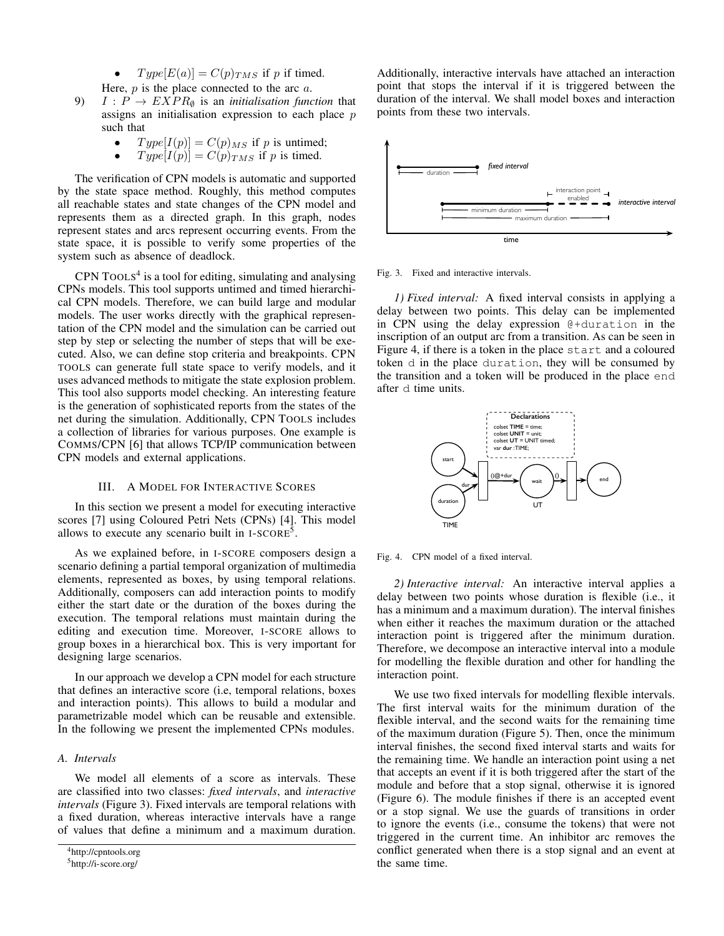$Type[E(a)] = C(p)_{TMS}$  if p if timed.

Here,  $p$  is the place connected to the arc  $a$ .

- 9)  $I: P \to EXPR_{\emptyset}$  is an *initialisation function* that assigns an initialisation expression to each place  $p$ such that
	- $Type[I(p)] = C(p)_{MS}$  if p is untimed;<br>•  $Type[I(p)] = C(p)_{TMS}$  if p is timed.
	- $Type[I(p)] = C(p)_{TMS}$  if p is timed.

The verification of CPN models is automatic and supported by the state space method. Roughly, this method computes all reachable states and state changes of the CPN model and represents them as a directed graph. In this graph, nodes represent states and arcs represent occurring events. From the state space, it is possible to verify some properties of the system such as absence of deadlock.

CPN TOOLS<sup>4</sup> is a tool for editing, simulating and analysing CPNs models. This tool supports untimed and timed hierarchical CPN models. Therefore, we can build large and modular models. The user works directly with the graphical representation of the CPN model and the simulation can be carried out step by step or selecting the number of steps that will be executed. Also, we can define stop criteria and breakpoints. CPN TOOLS can generate full state space to verify models, and it uses advanced methods to mitigate the state explosion problem. This tool also supports model checking. An interesting feature is the generation of sophisticated reports from the states of the net during the simulation. Additionally, CPN TOOLS includes a collection of libraries for various purposes. One example is COMMS/CPN [6] that allows TCP/IP communication between CPN models and external applications.

#### III. A MODEL FOR INTERACTIVE SCORES

In this section we present a model for executing interactive scores [7] using Coloured Petri Nets (CPNs) [4]. This model allows to execute any scenario built in I-SCORE<sup>5</sup>.

As we explained before, in I-SCORE composers design a scenario defining a partial temporal organization of multimedia elements, represented as boxes, by using temporal relations. Additionally, composers can add interaction points to modify either the start date or the duration of the boxes during the execution. The temporal relations must maintain during the editing and execution time. Moreover, I-SCORE allows to group boxes in a hierarchical box. This is very important for designing large scenarios.

In our approach we develop a CPN model for each structure that defines an interactive score (i.e, temporal relations, boxes and interaction points). This allows to build a modular and parametrizable model which can be reusable and extensible. In the following we present the implemented CPNs modules.

#### *A. Intervals*

We model all elements of a score as intervals. These are classified into two classes: *fixed intervals*, and *interactive intervals* (Figure 3). Fixed intervals are temporal relations with a fixed duration, whereas interactive intervals have a range of values that define a minimum and a maximum duration.

<sup>4</sup>http://cpntools.org

Additionally, interactive intervals have attached an interaction point that stops the interval if it is triggered between the duration of the interval. We shall model boxes and interaction points from these two intervals.



Fig. 3. Fixed and interactive intervals.

*1) Fixed interval:* A fixed interval consists in applying a delay between two points. This delay can be implemented in CPN using the delay expression @+duration in the inscription of an output arc from a transition. As can be seen in Figure 4, if there is a token in the place start and a coloured token d in the place duration, they will be consumed by the transition and a token will be produced in the place end after d time units.





*2) Interactive interval:* An interactive interval applies a delay between two points whose duration is flexible (i.e., it has a minimum and a maximum duration). The interval finishes when either it reaches the maximum duration or the attached interaction point is triggered after the minimum duration. Therefore, we decompose an interactive interval into a module for modelling the flexible duration and other for handling the interaction point.

We use two fixed intervals for modelling flexible intervals. The first interval waits for the minimum duration of the flexible interval, and the second waits for the remaining time of the maximum duration (Figure 5). Then, once the minimum interval finishes, the second fixed interval starts and waits for the remaining time. We handle an interaction point using a net that accepts an event if it is both triggered after the start of the module and before that a stop signal, otherwise it is ignored (Figure 6). The module finishes if there is an accepted event or a stop signal. We use the guards of transitions in order to ignore the events (i.e., consume the tokens) that were not triggered in the current time. An inhibitor arc removes the conflict generated when there is a stop signal and an event at the same time.

<sup>5</sup>http://i-score.org/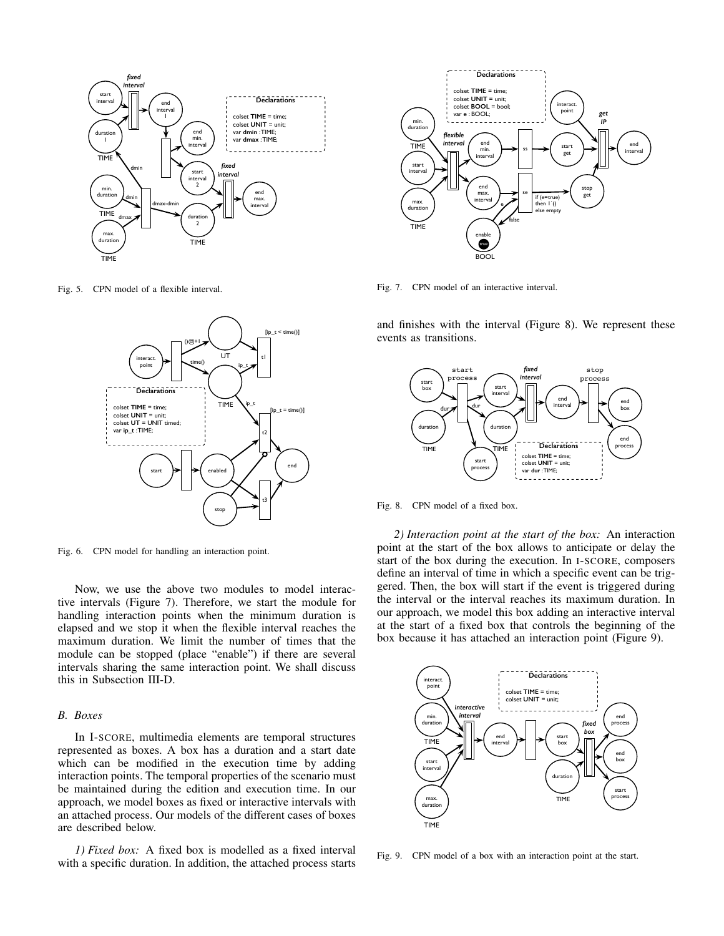

Fig. 5. CPN model of a flexible interval.



Fig. 6. CPN model for handling an interaction point.

Now, we use the above two modules to model interactive intervals (Figure 7). Therefore, we start the module for handling interaction points when the minimum duration is elapsed and we stop it when the flexible interval reaches the maximum duration. We limit the number of times that the module can be stopped (place "enable") if there are several intervals sharing the same interaction point. We shall discuss this in Subsection III-D.

#### *B. Boxes*

In I-SCORE, multimedia elements are temporal structures represented as boxes. A box has a duration and a start date which can be modified in the execution time by adding interaction points. The temporal properties of the scenario must be maintained during the edition and execution time. In our approach, we model boxes as fixed or interactive intervals with an attached process. Our models of the different cases of boxes are described below.

*1) Fixed box:* A fixed box is modelled as a fixed interval with a specific duration. In addition, the attached process starts



Fig. 7. CPN model of an interactive interval.

and finishes with the interval (Figure 8). We represent these events as transitions.



Fig. 8. CPN model of a fixed box.

*2) Interaction point at the start of the box:* An interaction point at the start of the box allows to anticipate or delay the start of the box during the execution. In I-SCORE, composers define an interval of time in which a specific event can be triggered. Then, the box will start if the event is triggered during the interval or the interval reaches its maximum duration. In our approach, we model this box adding an interactive interval at the start of a fixed box that controls the beginning of the box because it has attached an interaction point (Figure 9).



Fig. 9. CPN model of a box with an interaction point at the start.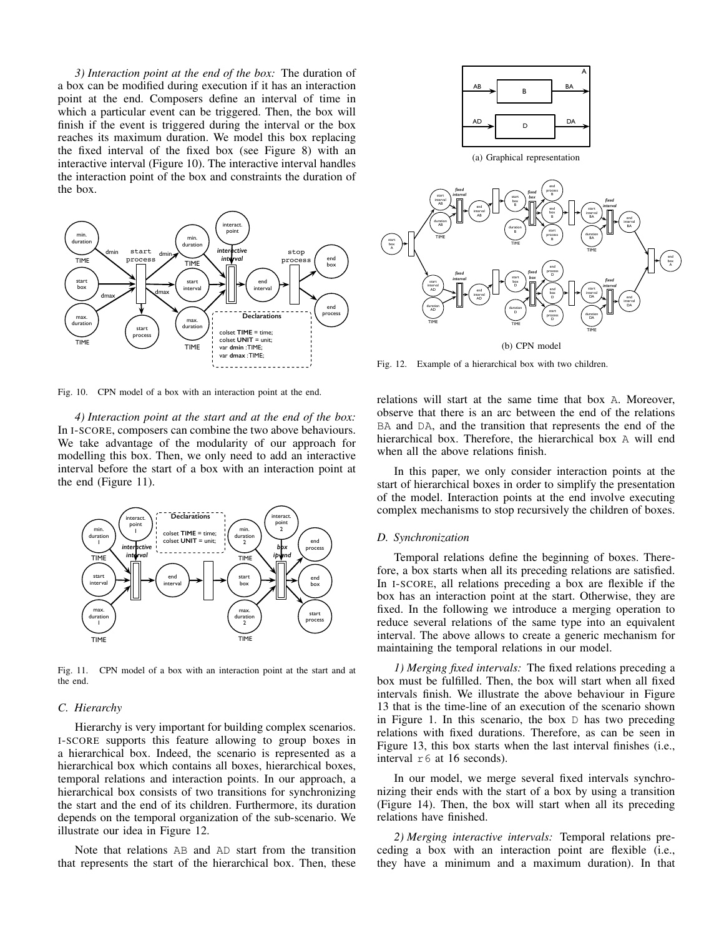*3) Interaction point at the end of the box:* The duration of a box can be modified during execution if it has an interaction point at the end. Composers define an interval of time in which a particular event can be triggered. Then, the box will finish if the event is triggered during the interval or the box reaches its maximum duration. We model this box replacing the fixed interval of the fixed box (see Figure 8) with an interactive interval (Figure 10). The interactive interval handles the interaction point of the box and constraints the duration of the box.



Fig. 10. CPN model of a box with an interaction point at the end.

*4) Interaction point at the start and at the end of the box:* In I-SCORE, composers can combine the two above behaviours. We take advantage of the modularity of our approach for modelling this box. Then, we only need to add an interactive interval before the start of a box with an interaction point at the end (Figure 11).



Fig. 11. CPN model of a box with an interaction point at the start and at the end.

#### *C. Hierarchy*

Hierarchy is very important for building complex scenarios. I-SCORE supports this feature allowing to group boxes in a hierarchical box. Indeed, the scenario is represented as a hierarchical box which contains all boxes, hierarchical boxes, temporal relations and interaction points. In our approach, a hierarchical box consists of two transitions for synchronizing the start and the end of its children. Furthermore, its duration depends on the temporal organization of the sub-scenario. We illustrate our idea in Figure 12.

Note that relations AB and AD start from the transition that represents the start of the hierarchical box. Then, these



Fig. 12. Example of a hierarchical box with two children.

relations will start at the same time that box A. Moreover, observe that there is an arc between the end of the relations BA and DA, and the transition that represents the end of the hierarchical box. Therefore, the hierarchical box A will end when all the above relations finish.

In this paper, we only consider interaction points at the start of hierarchical boxes in order to simplify the presentation of the model. Interaction points at the end involve executing complex mechanisms to stop recursively the children of boxes.

#### *D. Synchronization*

Temporal relations define the beginning of boxes. Therefore, a box starts when all its preceding relations are satisfied. In I-SCORE, all relations preceding a box are flexible if the box has an interaction point at the start. Otherwise, they are fixed. In the following we introduce a merging operation to reduce several relations of the same type into an equivalent interval. The above allows to create a generic mechanism for maintaining the temporal relations in our model.

*1) Merging fixed intervals:* The fixed relations preceding a box must be fulfilled. Then, the box will start when all fixed intervals finish. We illustrate the above behaviour in Figure 13 that is the time-line of an execution of the scenario shown in Figure 1. In this scenario, the box D has two preceding relations with fixed durations. Therefore, as can be seen in Figure 13, this box starts when the last interval finishes (i.e., interval  $r6$  at 16 seconds).

In our model, we merge several fixed intervals synchronizing their ends with the start of a box by using a transition (Figure 14). Then, the box will start when all its preceding relations have finished.

*2) Merging interactive intervals:* Temporal relations preceding a box with an interaction point are flexible (i.e., they have a minimum and a maximum duration). In that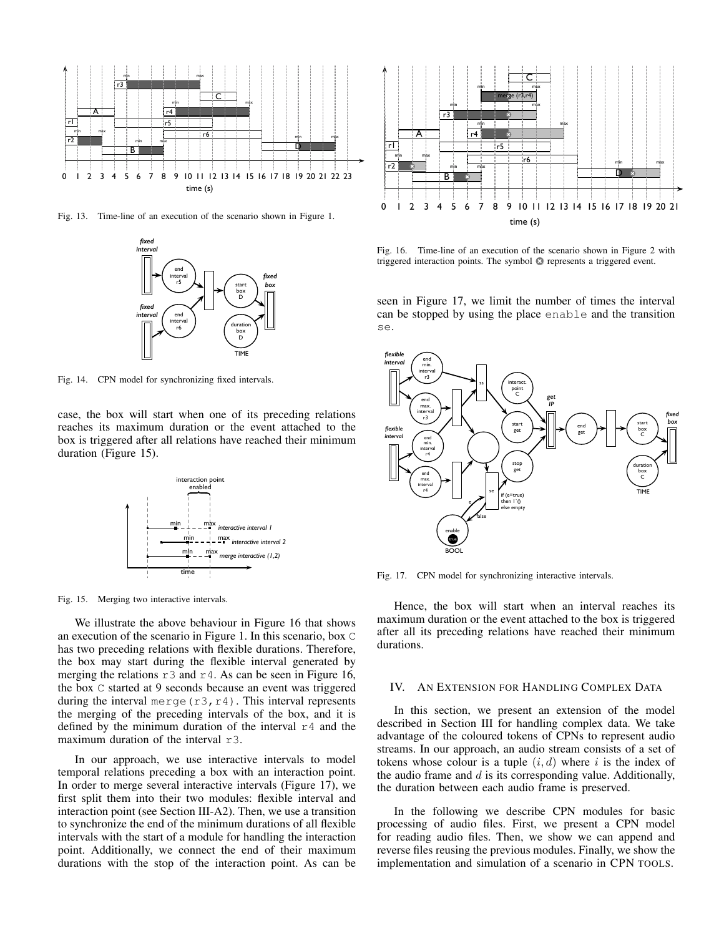

Fig. 13. Time-line of an execution of the scenario shown in Figure 1.



Fig. 14. CPN model for synchronizing fixed intervals.

case, the box will start when one of its preceding relations reaches its maximum duration or the event attached to the box is triggered after all relations have reached their minimum duration (Figure 15).



Fig. 15. Merging two interactive intervals.

We illustrate the above behaviour in Figure 16 that shows an execution of the scenario in Figure 1. In this scenario, box C has two preceding relations with flexible durations. Therefore, the box may start during the flexible interval generated by merging the relations  $r3$  and  $r4$ . As can be seen in Figure 16, the box C started at 9 seconds because an event was triggered during the interval merge  $(r3, r4)$ . This interval represents the merging of the preceding intervals of the box, and it is defined by the minimum duration of the interval  $r4$  and the maximum duration of the interval  $r3$ .

In our approach, we use interactive intervals to model temporal relations preceding a box with an interaction point. In order to merge several interactive intervals (Figure 17), we first split them into their two modules: flexible interval and interaction point (see Section III-A2). Then, we use a transition to synchronize the end of the minimum durations of all flexible intervals with the start of a module for handling the interaction point. Additionally, we connect the end of their maximum durations with the stop of the interaction point. As can be



Fig. 16. Time-line of an execution of the scenario shown in Figure 2 with triggered interaction points. The symbol  $\odot$  represents a triggered event.

seen in Figure 17, we limit the number of times the interval can be stopped by using the place enable and the transition se.



Fig. 17. CPN model for synchronizing interactive intervals.

Hence, the box will start when an interval reaches its maximum duration or the event attached to the box is triggered after all its preceding relations have reached their minimum durations.

#### IV. AN EXTENSION FOR HANDLING COMPLEX DATA

In this section, we present an extension of the model described in Section III for handling complex data. We take advantage of the coloured tokens of CPNs to represent audio streams. In our approach, an audio stream consists of a set of tokens whose colour is a tuple  $(i, d)$  where i is the index of the audio frame and  $d$  is its corresponding value. Additionally, the duration between each audio frame is preserved.

In the following we describe CPN modules for basic processing of audio files. First, we present a CPN model for reading audio files. Then, we show we can append and reverse files reusing the previous modules. Finally, we show the implementation and simulation of a scenario in CPN TOOLS.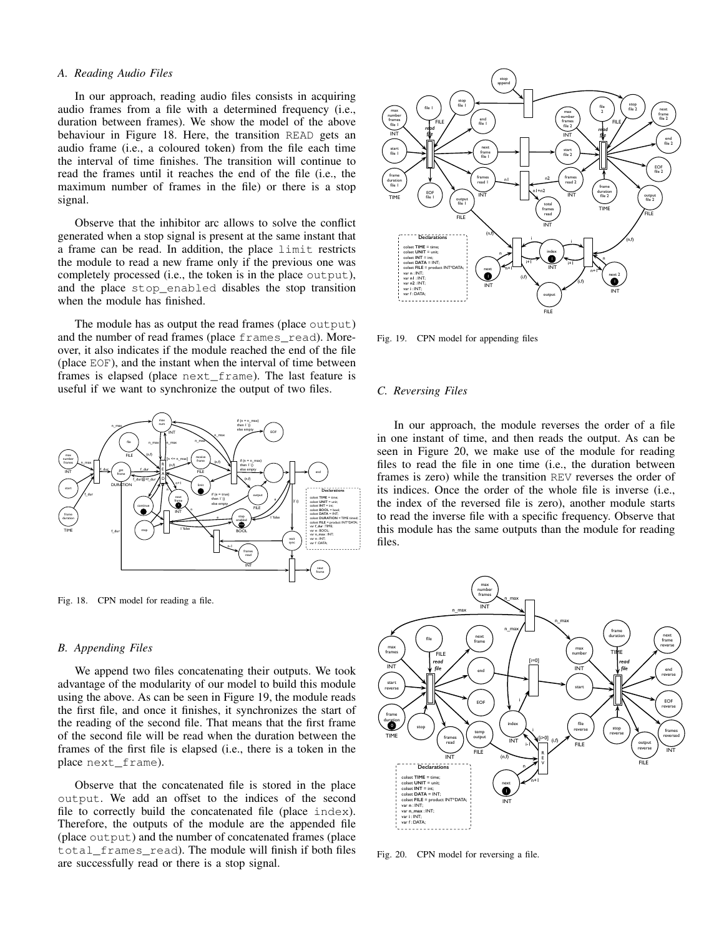#### *A. Reading Audio Files*

In our approach, reading audio files consists in acquiring audio frames from a file with a determined frequency (i.e., duration between frames). We show the model of the above behaviour in Figure 18. Here, the transition READ gets an audio frame (i.e., a coloured token) from the file each time the interval of time finishes. The transition will continue to read the frames until it reaches the end of the file (i.e., the maximum number of frames in the file) or there is a stop signal.

Observe that the inhibitor arc allows to solve the conflict generated when a stop signal is present at the same instant that a frame can be read. In addition, the place limit restricts the module to read a new frame only if the previous one was completely processed (i.e., the token is in the place output), and the place stop\_enabled disables the stop transition when the module has finished.

The module has as output the read frames (place output) and the number of read frames (place frames\_read). Moreover, it also indicates if the module reached the end of the file (place EOF), and the instant when the interval of time between frames is elapsed (place next\_frame). The last feature is useful if we want to synchronize the output of two files.



Fig. 18. CPN model for reading a file.

#### *B. Appending Files*

We append two files concatenating their outputs. We took advantage of the modularity of our model to build this module using the above. As can be seen in Figure 19, the module reads the first file, and once it finishes, it synchronizes the start of the reading of the second file. That means that the first frame of the second file will be read when the duration between the frames of the first file is elapsed (i.e., there is a token in the place next\_frame).

Observe that the concatenated file is stored in the place output. We add an offset to the indices of the second file to correctly build the concatenated file (place index). Therefore, the outputs of the module are the appended file (place output) and the number of concatenated frames (place total\_frames\_read). The module will finish if both files are successfully read or there is a stop signal.



Fig. 19. CPN model for appending files

#### *C. Reversing Files*

In our approach, the module reverses the order of a file in one instant of time, and then reads the output. As can be seen in Figure 20, we make use of the module for reading files to read the file in one time (i.e., the duration between frames is zero) while the transition REV reverses the order of its indices. Once the order of the whole file is inverse (i.e., the index of the reversed file is zero), another module starts to read the inverse file with a specific frequency. Observe that this module has the same outputs than the module for reading files.



Fig. 20. CPN model for reversing a file.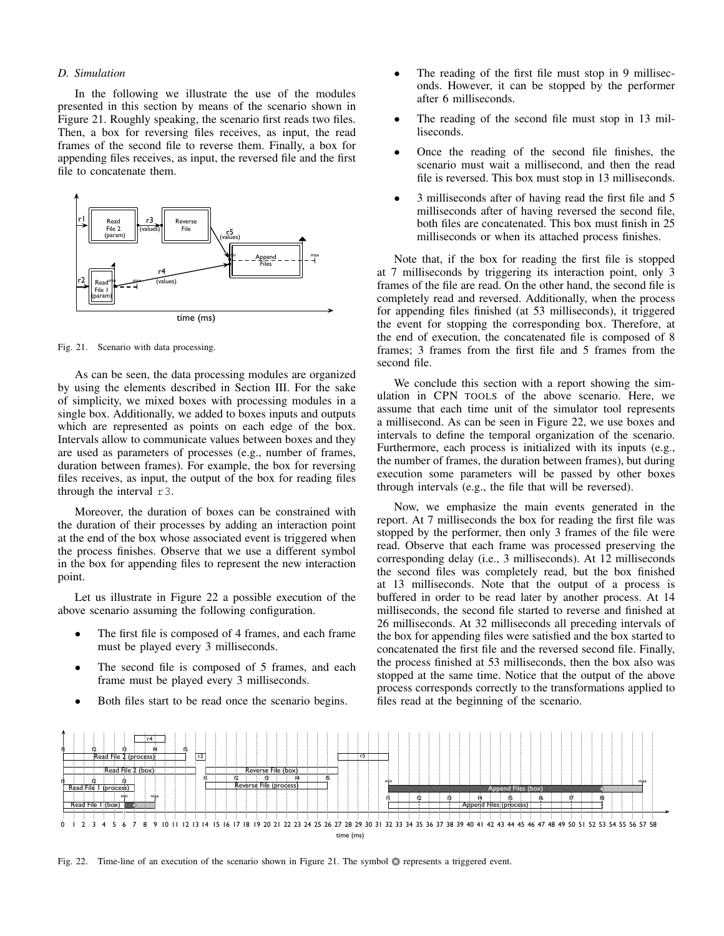#### *D. Simulation*

In the following we illustrate the use of the modules presented in this section by means of the scenario shown in Figure 21. Roughly speaking, the scenario first reads two files. Then, a box for reversing files receives, as input, the read frames of the second file to reverse them. Finally, a box for appending files receives, as input, the reversed file and the first file to concatenate them.



Fig. 21. Scenario with data processing.

As can be seen, the data processing modules are organized by using the elements described in Section III. For the sake of simplicity, we mixed boxes with processing modules in a single box. Additionally, we added to boxes inputs and outputs which are represented as points on each edge of the box. Intervals allow to communicate values between boxes and they are used as parameters of processes (e.g., number of frames, duration between frames). For example, the box for reversing files receives, as input, the output of the box for reading files through the interval  $r3$ .

Moreover, the duration of boxes can be constrained with the duration of their processes by adding an interaction point at the end of the box whose associated event is triggered when the process finishes. Observe that we use a different symbol in the box for appending files to represent the new interaction point.

Let us illustrate in Figure 22 a possible execution of the above scenario assuming the following configuration.

- The first file is composed of 4 frames, and each frame must be played every 3 milliseconds.
- The second file is composed of 5 frames, and each frame must be played every 3 milliseconds.
- Both files start to be read once the scenario begins.
- The reading of the first file must stop in 9 milliseconds. However, it can be stopped by the performer after 6 milliseconds.
- The reading of the second file must stop in 13 milliseconds.
- Once the reading of the second file finishes, the scenario must wait a millisecond, and then the read file is reversed. This box must stop in 13 milliseconds.
- 3 milliseconds after of having read the first file and 5 milliseconds after of having reversed the second file, both files are concatenated. This box must finish in 25 milliseconds or when its attached process finishes.

Note that, if the box for reading the first file is stopped at 7 milliseconds by triggering its interaction point, only 3 frames of the file are read. On the other hand, the second file is completely read and reversed. Additionally, when the process for appending files finished (at 53 milliseconds), it triggered the event for stopping the corresponding box. Therefore, at the end of execution, the concatenated file is composed of 8 frames; 3 frames from the first file and 5 frames from the second file.

We conclude this section with a report showing the simulation in CPN TOOLS of the above scenario. Here, we assume that each time unit of the simulator tool represents a millisecond. As can be seen in Figure 22, we use boxes and intervals to define the temporal organization of the scenario. Furthermore, each process is initialized with its inputs (e.g., the number of frames, the duration between frames), but during execution some parameters will be passed by other boxes through intervals (e.g., the file that will be reversed).

Now, we emphasize the main events generated in the report. At 7 milliseconds the box for reading the first file was stopped by the performer, then only 3 frames of the file were read. Observe that each frame was processed preserving the corresponding delay (i.e., 3 milliseconds). At 12 milliseconds the second files was completely read, but the box finished at 13 milliseconds. Note that the output of a process is buffered in order to be read later by another process. At 14 milliseconds, the second file started to reverse and finished at 26 milliseconds. At 32 milliseconds all preceding intervals of the box for appending files were satisfied and the box started to concatenated the first file and the reversed second file. Finally, the process finished at 53 milliseconds, then the box also was stopped at the same time. Notice that the output of the above process corresponds correctly to the transformations applied to files read at the beginning of the scenario.



Fig. 22. Time-line of an execution of the scenario shown in Figure 21. The symbol  $\bullet$  represents a triggered event.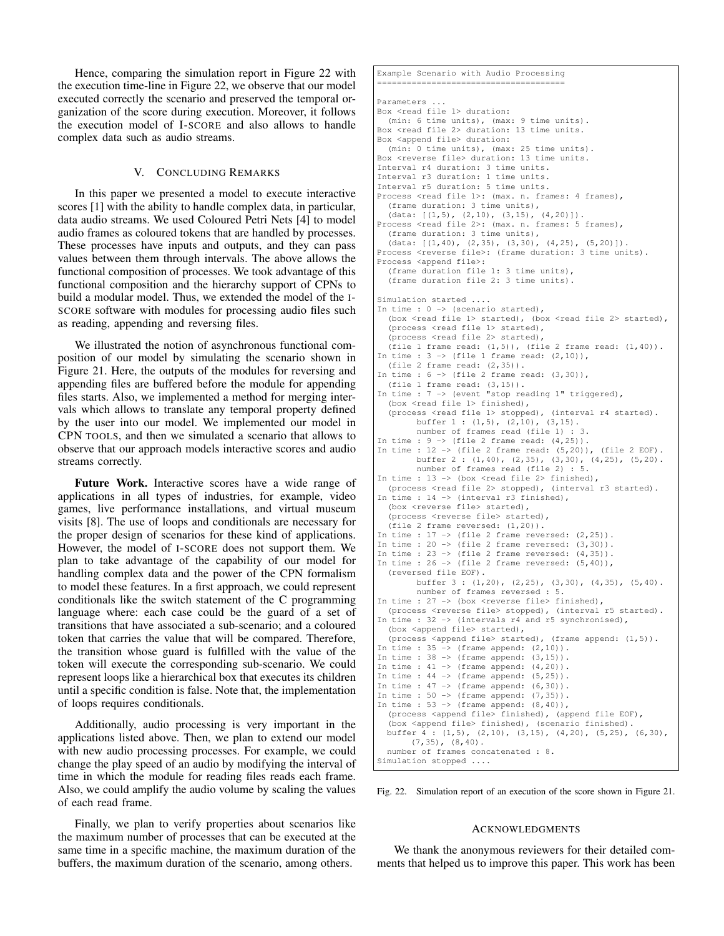Hence, comparing the simulation report in Figure 22 with the execution time-line in Figure 22, we observe that our model executed correctly the scenario and preserved the temporal organization of the score during execution. Moreover, it follows the execution model of I-SCORE and also allows to handle complex data such as audio streams.

#### V. CONCLUDING REMARKS

In this paper we presented a model to execute interactive scores [1] with the ability to handle complex data, in particular, data audio streams. We used Coloured Petri Nets [4] to model audio frames as coloured tokens that are handled by processes. These processes have inputs and outputs, and they can pass values between them through intervals. The above allows the functional composition of processes. We took advantage of this functional composition and the hierarchy support of CPNs to build a modular model. Thus, we extended the model of the I-SCORE software with modules for processing audio files such as reading, appending and reversing files.

We illustrated the notion of asynchronous functional composition of our model by simulating the scenario shown in Figure 21. Here, the outputs of the modules for reversing and appending files are buffered before the module for appending files starts. Also, we implemented a method for merging intervals which allows to translate any temporal property defined by the user into our model. We implemented our model in CPN TOOLS, and then we simulated a scenario that allows to observe that our approach models interactive scores and audio streams correctly.

Future Work. Interactive scores have a wide range of applications in all types of industries, for example, video games, live performance installations, and virtual museum visits [8]. The use of loops and conditionals are necessary for the proper design of scenarios for these kind of applications. However, the model of I-SCORE does not support them. We plan to take advantage of the capability of our model for handling complex data and the power of the CPN formalism to model these features. In a first approach, we could represent conditionals like the switch statement of the C programming language where: each case could be the guard of a set of transitions that have associated a sub-scenario; and a coloured token that carries the value that will be compared. Therefore, the transition whose guard is fulfilled with the value of the token will execute the corresponding sub-scenario. We could represent loops like a hierarchical box that executes its children until a specific condition is false. Note that, the implementation of loops requires conditionals.

Additionally, audio processing is very important in the applications listed above. Then, we plan to extend our model with new audio processing processes. For example, we could change the play speed of an audio by modifying the interval of time in which the module for reading files reads each frame. Also, we could amplify the audio volume by scaling the values of each read frame.

Finally, we plan to verify properties about scenarios like the maximum number of processes that can be executed at the same time in a specific machine, the maximum duration of the buffers, the maximum duration of the scenario, among others.

```
Example Scenario with Audio Processing
    ======================================
Parameters
Box <read file 1> duration:
  (min: 6 time units), (max: 9 time units).
Box <read file 2> duration: 13 time units.
Box <append file> duration:
 (min: 0 time units), (max: 25 time units).
Box <reverse file> duration: 13 time units.
Interval r4 duration: 3 time units.
Interval r3 duration: 1 time units.
Interval r5 duration: 5 time units.
Process <read file 1>: (max. n. frames: 4 frames),
  (frame duration: 3 time units),
  (data: [(1, 5), (2, 10), (3, 15), (4, 20)]).
Process <read file 2>: (max. n. frames: 5 frames),
  (frame duration: 3 time units),
  (data: [(1, 40), (2, 35), (3, 30), (4, 25), (5, 20)].
Process <reverse file>: (frame duration: 3 time units).
Process <append file>:
  (frame duration file 1: 3 time units),
  (frame duration file 2: 3 time units).
Simulation started ....
In time : 0 \rightarrow (scenario started),
  (box <read file 1> started), (box <read file 2> started),
  (process <read file 1> started),
  (process <read file 2> started),
  (file 1 frame read: (1,5)), (file 2 frame read: (1,40)).
In time : 3 \rightarrow (file 1 frame read: (2,10)),
 (file 2 frame read: (2,35)).
In time : 6 \rightarrow (file 2 frame read: (3,30)),
 (file 1 frame read: (3,15)).
In time : 7 \rightarrow (event "stop reading 1" triggered),
  (box \leread file 1> finished),
  (process <read file 1> stopped), (interval r4 started).
       buffer 1 : (1,5), (2,10), (3,15).
        number of frames read (file 1) : 3.
In time : 9 \rightarrow (file 2 frame read: (4.25)).
In time : 12 \rightarrow (file 2 frame read: (5, 20)), (file 2 EOF).
        buffer 2 : (1, 40), (2, 35), (3, 30), (4, 25), (5, 20).
        number of frames read (file 2) : 5.
In time : 13 \rightarrow (box <read file 2> finished).
 (process <read file 2> stopped), (interval r3 started).
In time : 14 \rightarrow (interval r3 finished),
  (box <reverse file> started),
  (process <reverse file> started),
  (file 2 frame reversed: (1,20)).
In time : 17 -> (file 2 frame reversed: (2, 25)).
In time : 20 \rightarrow (file 2 frame reversed: (3,30)).
In time : 23 \rightarrow (file 2 frame reversed: (4,35)).
In time : 26 \rightarrow (file 2 frame reversed: (5, 40)),
  (reversed file EOF).
        buffer 3: (1,20), (2,25), (3,30), (4,35), (5,40).
        number of frames reversed : 5.
In time : 27 -> (box <reverse file> finished),
(process <reverse file> stopped), (interval r5 started).
In time : 32 -> (intervals r4 and r5 synchronised),
  (box <append file> started),
  (process <append file> started), (frame append: (1,5)).
In time : 35 \rightarrow (frame append: (2,10)).
In time : 38 \rightarrow (frame append: (3,15)).
In time : 41 \rightarrow (frame append: (4, 20)).
In time : 44 \rightarrow (frame append: (5, 25)).
In time : 47 \rightarrow (frame append: (6,30)).
In time : 50 \rightarrow (frame append: (7, 35)).
In time : 53 -> (frame append: (8, 40)),
  (process <append file> finished), (append file EOF),
  (box <append file> finished), (scenario finished).
  buffer 4 : (1,5), (2,10), (3,15), (4,20), (5,25), (6,30),
       (7,35), (8,40).
  number of frames concatenated : 8.
Simulation stopped ....
```
Fig. 22. Simulation report of an execution of the score shown in Figure 21.

#### ACKNOWLEDGMENTS

We thank the anonymous reviewers for their detailed comments that helped us to improve this paper. This work has been